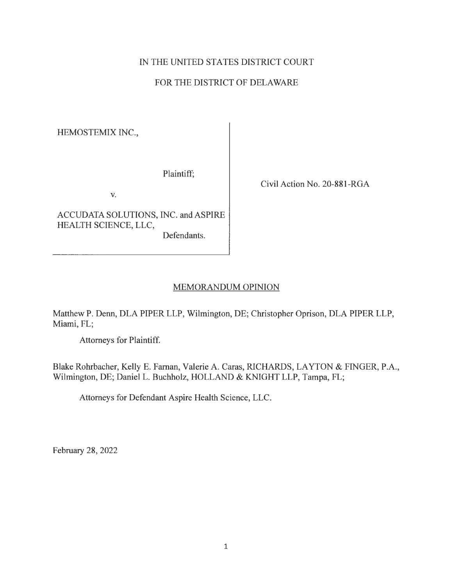# IN THE UNITED STATES DISTRICT COURT

### FOR THE DISTRICT OF DELAWARE

HEMOSTEMIX INC.,

Plaintiff;

V.

ACCUDATA SOLUTIONS, INC. and ASPIRE HEALTH SCIENCE, LLC, Defendants.

Civil Action No. 20-881-RGA

#### MEMORANDUM OPINION

Matthew P. Denn, DLA PIPER LLP, Wilmington, DE; Christopher Oprison, DLA PIPER LLP, Miami, FL;

Attorneys for Plaintiff.

Blake Rohrbacher, Kelly E. Farnan, Valerie A. Caras, RICHARDS, LAYTON & FINGER, P.A., Wilmington, DE; Daniel L. Buchholz, HOLLAND & KNIGHT LLP, Tampa, FL;

Attorneys for Defendant Aspire Health Science, LLC.

February 28, 2022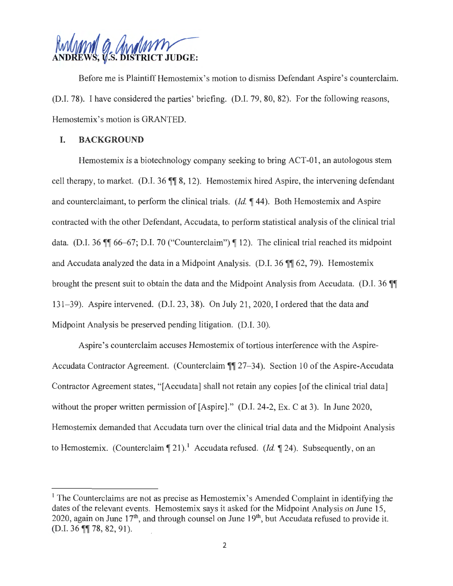

Before me is Plaintiff Hemostemix's motion to dismiss Defendant Aspire's counterclaim. (D.1. 78). I have considered the parties' briefing. (D.1. 79, 80, 82). For the following reasons, Hemostemix's motion is GRANTED.

#### **I. BACKGROUND**

Hemostemix is a biotechnology company seeking to bring ACT-01, an autologous stem cell therapy, to market. (D.I. 36 **11** 8, 12). Hemostemix hired Aspire, the intervening defendant and counterclaimant, to perform the clinical trials. *(Id.* 144). Both Hemostemix and Aspire contracted with the other Defendant, Accudata, to perform statistical analysis of the clinical trial data. (D.I. 36  $\mathbb{I}$  66–67; D.I. 70 ("Counterclaim")  $\mathbb{I}$  12). The clinical trial reached its midpoint and Accudata analyzed the data in a Midpoint Analysis. (D.I. 36 **)**, 62, 79). Hemostemix brought the present suit to obtain the data and the Midpoint Analysis from Accudata. (D.I. 36 **T** 131-39). Aspire intervened. (D.1. 23, 38). On July 21, 2020, I ordered that the data and Midpoint Analysis be preserved pending litigation. (D.I. 30).

Aspire's counterclaim accuses Hemostemix of tortious interference with the Aspire-Accudata Contractor Agreement. (Counterclaim **1** 27–34). Section 10 of the Aspire-Accudata Contractor Agreement states, "[Accudata] shall not retain any copies [of the clinical trial data] without the proper written permission of [Aspire]." (D.I. 24-2, Ex. C at 3). In June 2020, Hemostemix demanded that Accudata turn over the clinical trial data and the Midpoint Analysis to Hemostemix. (Counterclaim  $\P$  21).<sup>1</sup> Accudata refused. (*Id.*  $\P$  24). Subsequently, on an

 $<sup>1</sup>$  The Counterclaims are not as precise as Hemostemix's Amended Complaint in identifying the</sup> dates of the relevant events. Hemostemix says it asked for the Midpoint Analysis on June 15, 2020, again on June  $17<sup>th</sup>$ , and through counsel on June  $19<sup>th</sup>$ , but Accudata refused to provide it. (D.I. 36 **¶** 78, 82, 91).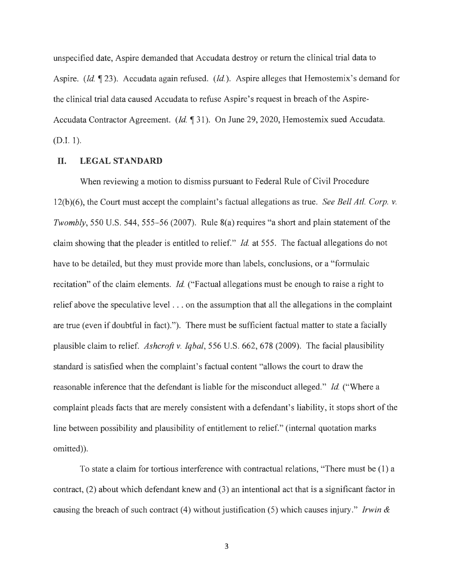unspecified date, Aspire demanded that Accudata destroy or return the clinical trial data to Aspire. *(Id.* 123). Accudata again refused. *(Id.).* Aspire alleges that Hemostemix's demand for the clinical trial data caused Accudata to refuse Aspire' s request in breach of the Aspire-Accudata Contractor Agreement. *(Id.* 1 31). On June 29, 2020, Hemostemix sued Accudata. (D.I. 1).

#### **II.** LEGAL STANDARD

When reviewing a motion to dismiss pursuant to Federal Rule of Civil Procedure 12(b)(6), the Court must accept the complaint's factual allegations as true. *See Bell At/. Corp. v. Twombly,* 550 U.S. 544, 555–56 (2007). Rule 8(a) requires "a short and plain statement of the claim showing that the pleader is entitled to relief." *Id.* at 555. The factual allegations do not have to be detailed, but they must provide more than labels, conclusions, or a "formulaic recitation" of the claim elements. *Id.* ("Factual allegations must be enough to raise a right to relief above the speculative level ... on the assumption that all the allegations in the complaint are true (even if doubtful in fact)."). There must be sufficient factual matter to state a facially plausible claim to relief. *Ashcroft v. Iqbal,* 556 U.S. 662, 678 (2009). The facial plausibility standard is satisfied when the complaint's factual content "allows the court to draw the reasonable inference that the defendant is liable for the misconduct alleged." *Id.* ("Where a complaint pleads facts that are merely consistent with a defendant's liability, it stops short of the line between possibility and plausibility of entitlement to relief." (internal quotation marks omitted)).

To state a claim for tortious interference with contractual relations, "There must be (1) a contract, (2) about which defendant knew and (3) an intentional act that is a significant factor in causing the breach of such contract (4) without justification (5) which causes injury." *Irwin &* 

3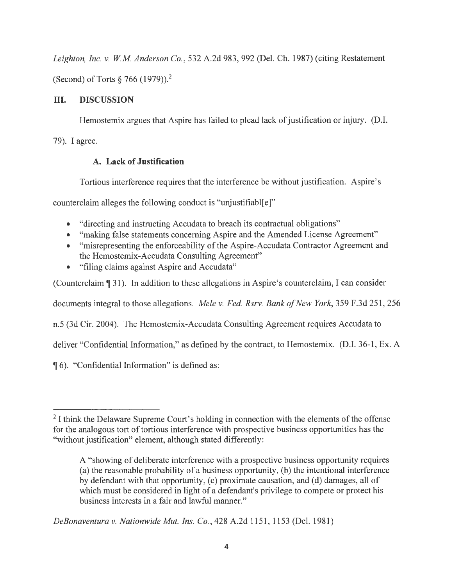*Leighton, Inc. v. WM Anderson Co.,* 532 A.2d 983,992 (Del. Ch. 1987) (citing Restatement (Second) of Torts  $\S 766 (1979)$ ).<sup>2</sup>

# **III. DISCUSSION**

Hemostemix argues that Aspire has failed to plead lack of justification or injury. (D.I.

79). I agree.

## **A. Lack of Justification**

Tortious interference requires that the interference be without justification. Aspire's

counterclaim alleges the following conduct is "unjustifiabl[e]"

- "directing and instructing Accudata to breach its contractual obligations"
- "making false statements concerning Aspire and the Amended License Agreement"
- "misrepresenting the enforceability of the Aspire-Accudata Contractor Agreement and the Hemostemix-Accudata Consulting Agreement"
- "filing claims against Aspire and Accudata"

(Counterclaim **1** 31 ). In addition to these allegations in Aspire' s counterclaim, I can consider

documents integral to those allegations. *Mele v. Fed. Rsrv. Bank of New York,* 359 F.3d 251,256

n.5 (3d Cir. 2004). The Hemostemix-Accudata Consulting Agreement requires Accudata to

deliver "Confidential Information," as defined by the contract, to Hemostemix. (D.I. 36-1, Ex. A

16). "Confidential Information" is defined as:

*DeBonaventura v. Nationwide Mut. Ins. Co.,* 428 A.2d 1151, 1153 (Del. 1981)

 $2$ I think the Delaware Supreme Court's holding in connection with the elements of the offense for the analogous tort of tortious interference with prospective business opportunities has the "without justification" element, although stated differently:

A "showing of deliberate interference with a prospective business opportunity requires (a) the reasonable probability of a business opportunity, (b) the intentional interference by defendant with that opportunity, (c) proximate causation, and (d) damages, all of which must be considered in light of a defendant's privilege to compete or protect his business interests in a fair and lawful manner."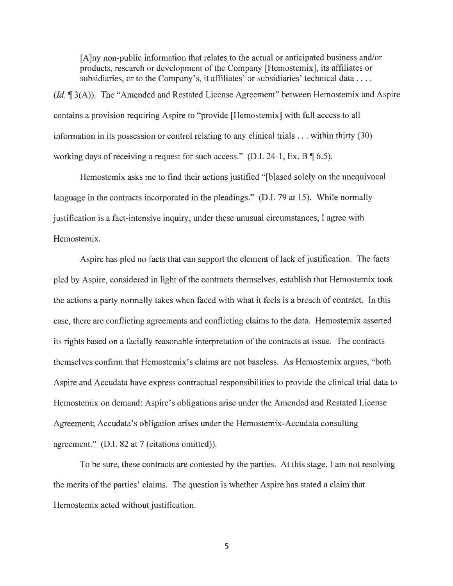[A]ny non-public information that relates to the actual or anticipated business and/or products, research or development of the Company (Hemostemix], its affiliates or subsidiaries, or to the Company's, it affiliates' or subsidiaries' technical data ....

*(Id.*  $\mathcal{A}$  3(A)). The "Amended and Restated License Agreement" between Hemostemix and Aspire contains a provision requiring Aspire to "provide [Hemostemix] with full access to all information in its possession or control relating to any clinical trials ... within thirty (30) working days of receiving a request for such access." (D.I. 24-1, Ex. B,  $\lceil 6.5 \rceil$ .

Hemostemix asks me to find their actions justified "[b ]ased solely on the unequivocal language in the contracts incorporated in the pleadings." (D.I. 79 at 15). While normally justification is a fact-intensive inquiry, under these unusual circumstances, I agree with Hemostemix.

Aspire has pled no facts that can support the element of lack of justification. The facts pled by Aspire, considered in light of the contracts themselves, establish that Hemostemix took the actions a party normally takes when faced with what it feels is a breach of contract. In this case, there are conflicting agreements and conflicting claims to the data. Hemostemix asserted its rights based on a facially reasonable interpretation of the contracts at issue. The contracts themselves confirm that Hemostemix's claims are not baseless. As Hemostemix argues, "both Aspire and Accudata have express contractual responsibilities to provide the clinical trial data to Hemostemix on demand: Aspire's obligations arise under the Amended and Restated License Agreement; Accudata's obligation arises under the Hemostemix-Accudata consulting agreement." (D.I. 82 at 7 (citations omitted)).

To be sure, these contracts are contested by the parties. At this stage, I am not resolving the merits of the parties' claims. The question is whether Aspire has stated a claim that Hemostemix acted without justification.

5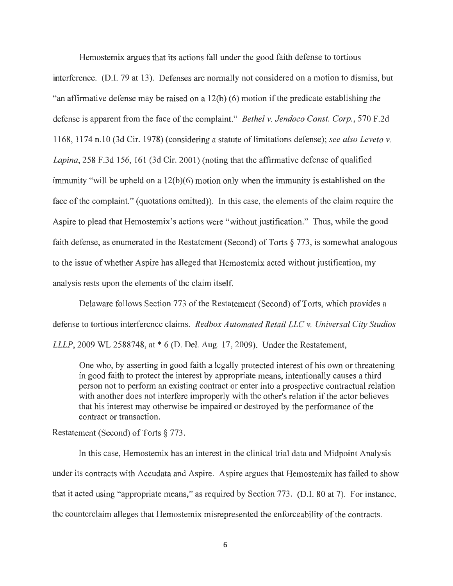Hemostemix argues that its actions fall under the good faith defense to tortious interference. (D.I. 79 at 13). Defenses are normally not considered on a motion to dismiss, but "an affirmative defense may be raised on a 12(b) (6) motion if the predicate establishing the defense is apparent from the face of the complaint." *Bethel v. Jendoco Const. Corp.,* 570 F.2d 1168, 1174 n.10 (3d Cir. 1978) ( considering a statute of limitations defense); *see also Leveto v. Lapina,* 258 F.3d 156, 161 (3d Cir. 2001) (noting that the affirmative defense of qualified immunity "will be upheld on a 12(b)(6) motion only when the immunity is established on the face of the complaint." (quotations omitted)). In this case, the elements of the claim require the Aspire to plead that Hemostemix's actions were "without justification." Thus, while the good faith defense, as enumerated in the Restatement (Second) of Torts § 773, is somewhat analogous to the issue of whether Aspire has alleged that Hemostemix acted without justification, my analysis rests upon the elements of the claim itself.

Delaware follows Section 773 of the Restatement (Second) of Torts, which provides a defense to tortious interference claims. *Redbox Automated Retail LLC v. Universal City Studios LLLP*, 2009 WL 2588748, at \* 6 (D. Del. Aug. 17, 2009). Under the Restatement,

One who, by asserting in good faith a legally protected interest of his own or threatening in good faith to protect the interest by appropriate means, intentionally causes a third person not to perform an existing contract or enter into a prospective contractual relation with another does not interfere improperly with the other's relation if the actor believes that his interest may otherwise be impaired or destroyed by the performance of the contract or transaction.

Restatement (Second) of Torts§ 773.

In this case, Hemostemix has an interest in the clinical trial data and Midpoint Analysis under its contracts with Accudata and Aspire. Aspire argues that Hemostemix has failed to show that it acted using "appropriate means," as required by Section 773. (D.I. 80 at 7). For instance, the counterclaim alleges that Hemostemix misrepresented the enforceability of the contracts.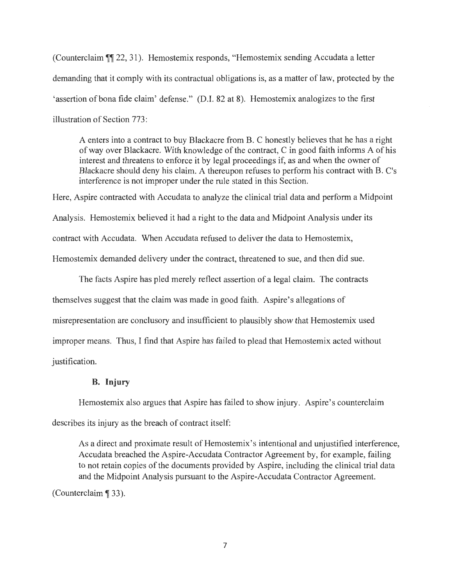(Counterclaim **1** 22, 31). Hemostemix responds, "Hemostemix sending Accudata a letter demanding that it comply with its contractual obligations is, as a matter of law, protected by the ' assertion of bona fide claim' defense." (D.I. 82 at 8). Hemostemix analogizes to the first illustration of Section 773 :

A enters into a contract to buy Blackacre from B. C honestly believes that he has a right of way over Blackacre. With knowledge of the contract, C in good faith informs A of his interest and threatens to enforce it by legal proceedings if, as and when the owner of Blackacre should deny his claim. A thereupon refuses to perform his contract with B. C's interference is not improper under the rule stated in this Section.

Here, Aspire contracted with Accudata to analyze the clinical trial data and perform a Midpoint Analysis. Hemostemix believed it had a right to the data and Midpoint Analysis under its contract with Accudata. When Accudata refused to deliver the data to Hemostemix, Hemostemix demanded delivery under the contract, threatened to sue, and then did sue.

The facts Aspire has pied merely reflect assertion of a legal claim. The contracts themselves suggest that the claim was made in good faith. Aspire's allegations of misrepresentation are conclusory and insufficient to plausibly show that Hemostemix used improper means. Thus, I find that Aspire has failed to plead that Hemostemix acted without justification.

#### **B. Injury**

Hemostemix also argues that Aspire has failed to show injury. Aspire's counterclaim describes its injury as the breach of contract itself:

As a direct and proximate result of Hemostemix's intentional and unjustified interference, Accudata breached the Aspire-Accudata Contractor Agreement by, for example, failing to not retain copies of the documents provided by Aspire, including the clinical trial data and the Midpoint Analysis pursuant to the Aspire-Accudata Contractor Agreement.

(Counterclaim ¶ 33).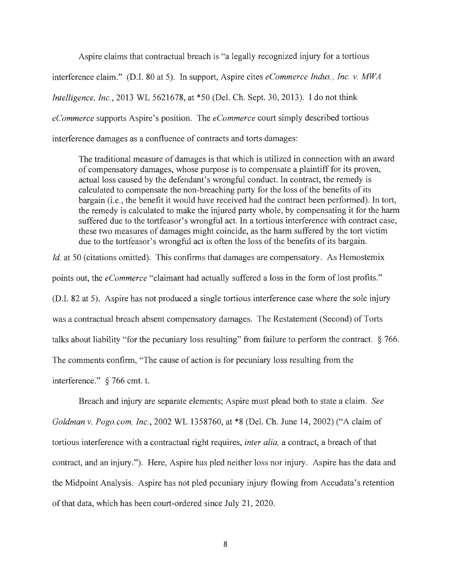Aspire claims that contractual breach is "a legally recognized injury for a tortious interference claim." (D.I. 80 at 5). In support, Aspire cites *eCommerce Indus., Inc. v. MWA Intelligence, Inc.,* 2013 WL 5621678, at \*50 (Del. Ch. Sept. 30, 2013). I do not think *eCommerce* supports Aspire's position. The *eCommerce* court simply described tortious interference damages as a confluence of contracts and torts damages:

The traditional measure of damages is that which is utilized in connection with an award of compensatory damages, whose purpose is to compensate a plaintiff for its proven, actual loss caused by the defendant's wrongful conduct. In contract, the remedy is calculated to compensate the non-breaching party for the loss of the benefits of its bargain (i.e., the benefit it would have received had the contract been performed). In tort, the remedy is calculated to make the injured party whole, by compensating it for the harm suffered due to the tortfeasor's wrongful act. In a tortious interference with contract case, these two measures of damages might coincide, as the harm suffered by the tort victim due to the tortfeasor's wrongful act is often the loss of the benefits of its bargain.

*Id.* at 50 (citations omitted). This confirms that damages are compensatory. As Hemostemix points out, the *eCommerce* "claimant had actually suffered a loss in the form of lost profits." (D.I. 82 at 5). Aspire has not produced a single tortious interference case where the sole injury was a contractual breach absent compensatory damages. The Restatement (Second) of Torts talks about liability "for the pecuniary loss resulting" from failure to perform the contract. § 766. The comments confirm, "The cause of action is for pecuniary loss resulting from the interference." § 766 cmt. t.

Breach and injury are separate elements; Aspire must plead both to state a claim. *See Goldman v. Pogo. com, Inc.,* 2002 WL 1358760, at \*8 (Del. Ch. June 14, 2002) ("A claim of tortious interference with a contractual right requires, *inter alia,* a contract, a breach of that contract, and an injury."). Here, Aspire has pled neither loss nor injury. Aspire has the data and the Midpoint Analysis. Aspire has not pled pecuniary injury flowing from Accudata's retention of that data, which has been court-ordered since July 21, 2020.

8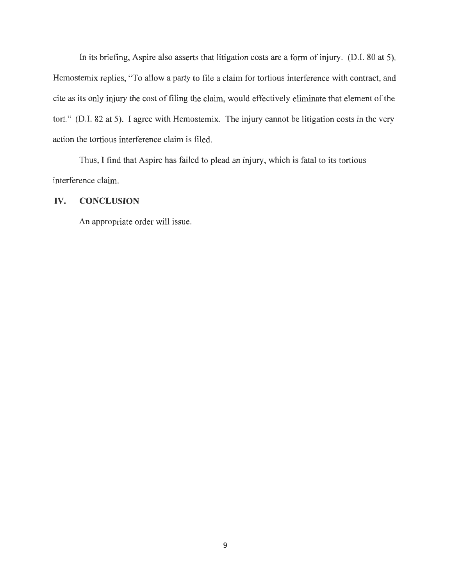In its briefing, Aspire also asserts that litigation costs are a form of injury. (D.I. 80 at 5). Hemostemix replies, "To allow a party to file a claim for tortious interference with contract, and cite as its only injury the cost of filing the claim, would effectively eliminate that element of the tort." (D.I. 82 at 5). I agree with Hemostemix. The injury cannot be litigation costs in the very action the tortious interference claim is filed.

Thus, I find that Aspire has failed to plead an injury, which is fatal to its tortious interference claim.

### **IV. CONCLUSION**

An appropriate order will issue.